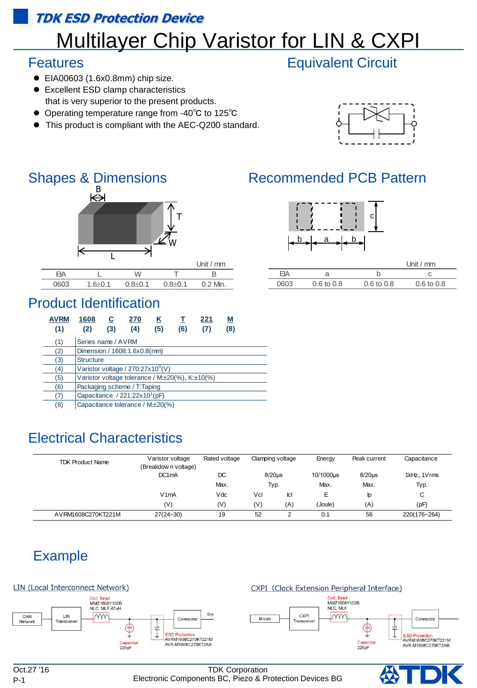### **TDK ESD Protection Device**

# **Multilayer Chip Varistor for LIN & CXPI**

### Features

- EIA00603 (1.6x0.8mm) chip size.
- Excellent ESD clamp characteristics that is very superior to the present products.
- Operating temperature range from -40℃ to 125℃
- This product is compliant with the AEC-Q200 standard.



### Shapes & Dimensions Recommended PCB Pattern



0603 1.6 $\pm$ 0.1 0.8 $\pm$ 0.1 0.8 $\pm$ 0.1 0.2 Min.

## Product Identification

| <b>AVRM</b><br>(1) | 1608<br>(2)                                     | С<br>(3) | 270<br>(4) | Κ<br>(5) | т<br>(6) | 221<br>(7) | М<br>(8) |  |
|--------------------|-------------------------------------------------|----------|------------|----------|----------|------------|----------|--|
| (1)                | Series name / AVRM                              |          |            |          |          |            |          |  |
| (2)                | Dimension / 1608:1.6x0.8(mm)                    |          |            |          |          |            |          |  |
| (3)                | <b>Structure</b>                                |          |            |          |          |            |          |  |
| (4)                | Varistor voltage / 270:27x10 <sup>0</sup> (V)   |          |            |          |          |            |          |  |
| (5)                | Varistor voltage tolerance / M:±20(%), K:±10(%) |          |            |          |          |            |          |  |
| (6)                | Packaging scheme / T:Taping                     |          |            |          |          |            |          |  |
| (7)                | Capacitance / $221:22x10^1(pF)$                 |          |            |          |          |            |          |  |
| $\sim$             |                                                 |          |            |          |          |            |          |  |

(8) Capacitance tolerance / M:±20(%)

| <b>Electrical Characteristics</b> |                                                        |                   |                  |             |           |              |              |
|-----------------------------------|--------------------------------------------------------|-------------------|------------------|-------------|-----------|--------------|--------------|
| <b>TDK Product Name</b>           | Varistor voltage                                       | Rated voltage     | Clamping voltage |             | Energy    | Peak current | Capacitance  |
|                                   | (Breakdow n voltage)<br>DC <sub>1</sub> m <sub>A</sub> | $8/20\mu s$<br>DC |                  |             | 10/1000us | $8/20\mu s$  | 1kHz, 1Vrms  |
|                                   |                                                        | Max.              | Typ.             |             | Max.      | Max.         | Typ.         |
|                                   | V1mA                                                   | Vdc               | Vcl              | <b>I</b> cl | Е         | lp.          | C            |
|                                   | (V)                                                    | (V)               | (V)              | (A)         | (Joule)   | (A)          | (pF)         |
| AVRM1608C270KT221M                | $27(24 - 30)$                                          | 19                | 52               | 2           | 0.1       | 56           | 220(176~264) |

## Example



P-1

Oct.27 '16 TDK Corporation Electronic Components BC, Piezo & Protection Devices BG





|      |                       | Unit / $mm$           |                       |  |  |
|------|-----------------------|-----------------------|-----------------------|--|--|
| FΙA  |                       |                       |                       |  |  |
| 0603 | $0.6 \text{ to } 0.8$ | $0.6 \text{ to } 0.8$ | $0.6 \text{ to } 0.8$ |  |  |

## Equivalent Circuit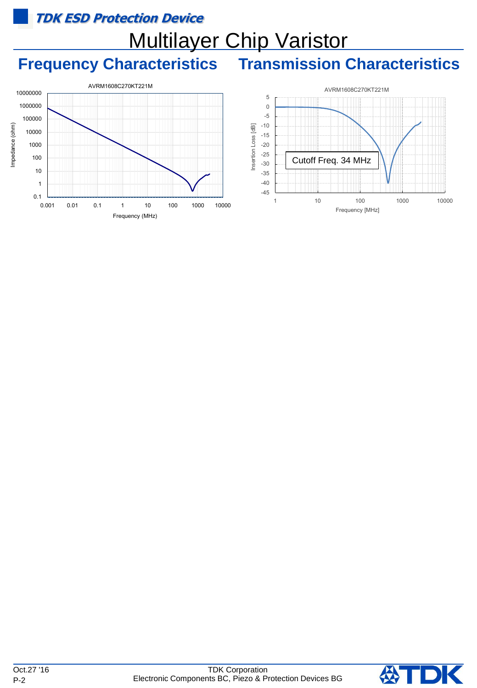### **TDK ESD Protection Device**

# Multilayer Chip Varistor

## **Frequency Characteristics Transmission Characteristics**